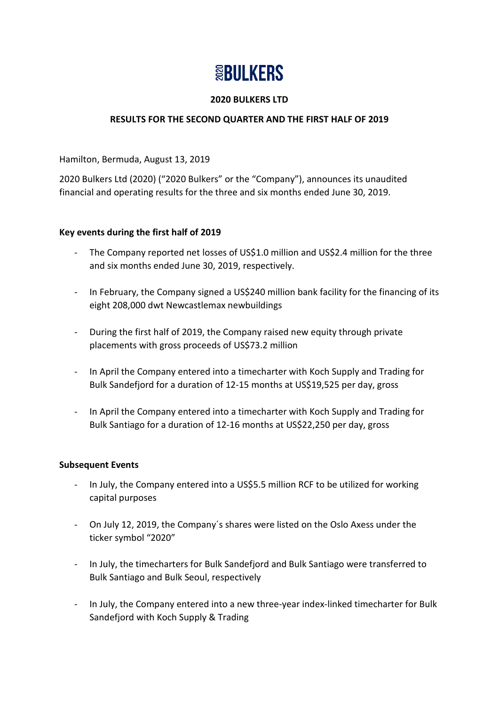# **SEBULKERS**

## **2020 BULKERS LTD**

# **RESULTS FOR THE SECOND QUARTER AND THE FIRST HALF OF 2019**

Hamilton, Bermuda, August 13, 2019

2020 Bulkers Ltd (2020) ("2020 Bulkers" or the "Company"), announces its unaudited financial and operating results for the three and six months ended June 30, 2019.

#### **Key events during the first half of 2019**

- The Company reported net losses of US\$1.0 million and US\$2.4 million for the three and six months ended June 30, 2019, respectively.
- In February, the Company signed a US\$240 million bank facility for the financing of its eight 208,000 dwt Newcastlemax newbuildings
- During the first half of 2019, the Company raised new equity through private placements with gross proceeds of US\$73.2 million
- In April the Company entered into a timecharter with Koch Supply and Trading for Bulk Sandefjord for a duration of 12-15 months at US\$19,525 per day, gross
- In April the Company entered into a timecharter with Koch Supply and Trading for Bulk Santiago for a duration of 12-16 months at US\$22,250 per day, gross

#### **Subsequent Events**

- In July, the Company entered into a US\$5.5 million RCF to be utilized for working capital purposes
- On July 12, 2019, the Company´s shares were listed on the Oslo Axess under the ticker symbol "2020"
- In July, the timecharters for Bulk Sandefjord and Bulk Santiago were transferred to Bulk Santiago and Bulk Seoul, respectively
- In July, the Company entered into a new three-year index-linked timecharter for Bulk Sandefjord with Koch Supply & Trading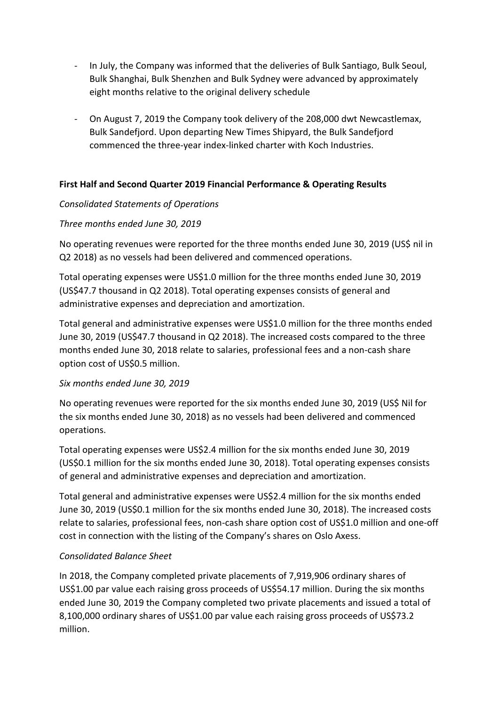- In July, the Company was informed that the deliveries of Bulk Santiago, Bulk Seoul, Bulk Shanghai, Bulk Shenzhen and Bulk Sydney were advanced by approximately eight months relative to the original delivery schedule
- On August 7, 2019 the Company took delivery of the 208,000 dwt Newcastlemax, Bulk Sandefjord. Upon departing New Times Shipyard, the Bulk Sandefjord commenced the three-year index-linked charter with Koch Industries.

# **First Half and Second Quarter 2019 Financial Performance & Operating Results**

# *Consolidated Statements of Operations*

#### *Three months ended June 30, 2019*

No operating revenues were reported for the three months ended June 30, 2019 (US\$ nil in Q2 2018) as no vessels had been delivered and commenced operations.

Total operating expenses were US\$1.0 million for the three months ended June 30, 2019 (US\$47.7 thousand in Q2 2018). Total operating expenses consists of general and administrative expenses and depreciation and amortization.

Total general and administrative expenses were US\$1.0 million for the three months ended June 30, 2019 (US\$47.7 thousand in Q2 2018). The increased costs compared to the three months ended June 30, 2018 relate to salaries, professional fees and a non-cash share option cost of US\$0.5 million.

#### *Six months ended June 30, 2019*

No operating revenues were reported for the six months ended June 30, 2019 (US\$ Nil for the six months ended June 30, 2018) as no vessels had been delivered and commenced operations.

Total operating expenses were US\$2.4 million for the six months ended June 30, 2019 (US\$0.1 million for the six months ended June 30, 2018). Total operating expenses consists of general and administrative expenses and depreciation and amortization.

Total general and administrative expenses were US\$2.4 million for the six months ended June 30, 2019 (US\$0.1 million for the six months ended June 30, 2018). The increased costs relate to salaries, professional fees, non-cash share option cost of US\$1.0 million and one-off cost in connection with the listing of the Company's shares on Oslo Axess.

# *Consolidated Balance Sheet*

In 2018, the Company completed private placements of 7,919,906 ordinary shares of US\$1.00 par value each raising gross proceeds of US\$54.17 million. During the six months ended June 30, 2019 the Company completed two private placements and issued a total of 8,100,000 ordinary shares of US\$1.00 par value each raising gross proceeds of US\$73.2 million.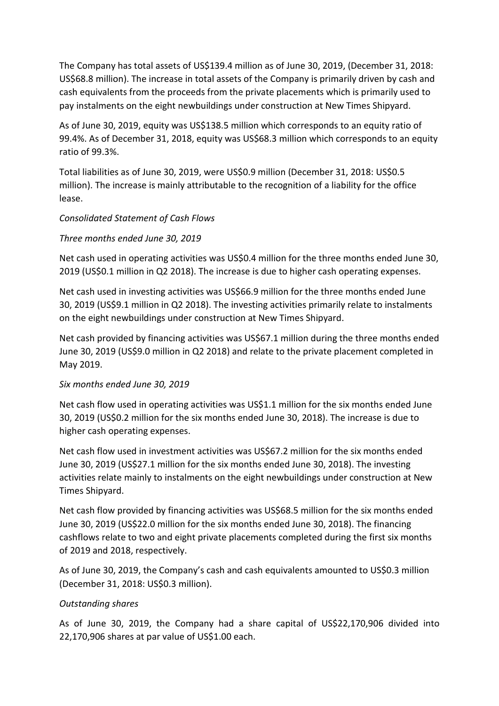The Company has total assets of US\$139.4 million as of June 30, 2019, (December 31, 2018: US\$68.8 million). The increase in total assets of the Company is primarily driven by cash and cash equivalents from the proceeds from the private placements which is primarily used to pay instalments on the eight newbuildings under construction at New Times Shipyard.

As of June 30, 2019, equity was US\$138.5 million which corresponds to an equity ratio of 99.4%. As of December 31, 2018, equity was US\$68.3 million which corresponds to an equity ratio of 99.3%.

Total liabilities as of June 30, 2019, were US\$0.9 million (December 31, 2018: US\$0.5 million). The increase is mainly attributable to the recognition of a liability for the office lease.

# *Consolidated Statement of Cash Flows*

# *Three months ended June 30, 2019*

Net cash used in operating activities was US\$0.4 million for the three months ended June 30, 2019 (US\$0.1 million in Q2 2018). The increase is due to higher cash operating expenses.

Net cash used in investing activities was US\$66.9 million for the three months ended June 30, 2019 (US\$9.1 million in Q2 2018). The investing activities primarily relate to instalments on the eight newbuildings under construction at New Times Shipyard.

Net cash provided by financing activities was US\$67.1 million during the three months ended June 30, 2019 (US\$9.0 million in Q2 2018) and relate to the private placement completed in May 2019.

# *Six months ended June 30, 2019*

Net cash flow used in operating activities was US\$1.1 million for the six months ended June 30, 2019 (US\$0.2 million for the six months ended June 30, 2018). The increase is due to higher cash operating expenses.

Net cash flow used in investment activities was US\$67.2 million for the six months ended June 30, 2019 (US\$27.1 million for the six months ended June 30, 2018). The investing activities relate mainly to instalments on the eight newbuildings under construction at New Times Shipyard.

Net cash flow provided by financing activities was US\$68.5 million for the six months ended June 30, 2019 (US\$22.0 million for the six months ended June 30, 2018). The financing cashflows relate to two and eight private placements completed during the first six months of 2019 and 2018, respectively.

As of June 30, 2019, the Company's cash and cash equivalents amounted to US\$0.3 million (December 31, 2018: US\$0.3 million).

# *Outstanding shares*

As of June 30, 2019, the Company had a share capital of US\$22,170,906 divided into 22,170,906 shares at par value of US\$1.00 each.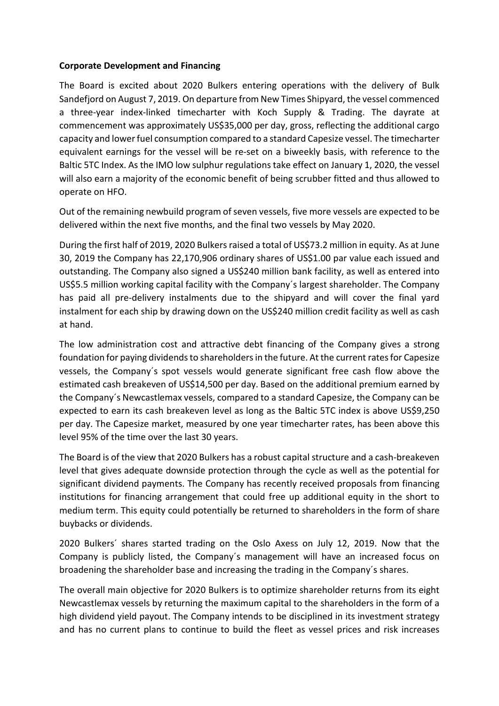#### **Corporate Development and Financing**

The Board is excited about 2020 Bulkers entering operations with the delivery of Bulk Sandefjord on August 7, 2019. On departure from New Times Shipyard, the vessel commenced a three-year index-linked timecharter with Koch Supply & Trading. The dayrate at commencement was approximately US\$35,000 per day, gross, reflecting the additional cargo capacity and lower fuel consumption compared to a standard Capesize vessel. The timecharter equivalent earnings for the vessel will be re-set on a biweekly basis, with reference to the Baltic 5TC Index. As the IMO low sulphur regulations take effect on January 1, 2020, the vessel will also earn a majority of the economic benefit of being scrubber fitted and thus allowed to operate on HFO.

Out of the remaining newbuild program of seven vessels, five more vessels are expected to be delivered within the next five months, and the final two vessels by May 2020.

During the first half of 2019, 2020 Bulkers raised a total of US\$73.2 million in equity. As at June 30, 2019 the Company has 22,170,906 ordinary shares of US\$1.00 par value each issued and outstanding. The Company also signed a US\$240 million bank facility, as well as entered into US\$5.5 million working capital facility with the Company´s largest shareholder. The Company has paid all pre-delivery instalments due to the shipyard and will cover the final yard instalment for each ship by drawing down on the US\$240 million credit facility as well as cash at hand.

The low administration cost and attractive debt financing of the Company gives a strong foundation for paying dividends to shareholdersin the future. At the current rates for Capesize vessels, the Company´s spot vessels would generate significant free cash flow above the estimated cash breakeven of US\$14,500 per day. Based on the additional premium earned by the Company´s Newcastlemax vessels, compared to a standard Capesize, the Company can be expected to earn its cash breakeven level as long as the Baltic 5TC index is above US\$9,250 per day. The Capesize market, measured by one year timecharter rates, has been above this level 95% of the time over the last 30 years.

The Board is of the view that 2020 Bulkers has a robust capital structure and a cash-breakeven level that gives adequate downside protection through the cycle as well as the potential for significant dividend payments. The Company has recently received proposals from financing institutions for financing arrangement that could free up additional equity in the short to medium term. This equity could potentially be returned to shareholders in the form of share buybacks or dividends.

2020 Bulkers´ shares started trading on the Oslo Axess on July 12, 2019. Now that the Company is publicly listed, the Company´s management will have an increased focus on broadening the shareholder base and increasing the trading in the Company´s shares.

The overall main objective for 2020 Bulkers is to optimize shareholder returns from its eight Newcastlemax vessels by returning the maximum capital to the shareholders in the form of a high dividend yield payout. The Company intends to be disciplined in its investment strategy and has no current plans to continue to build the fleet as vessel prices and risk increases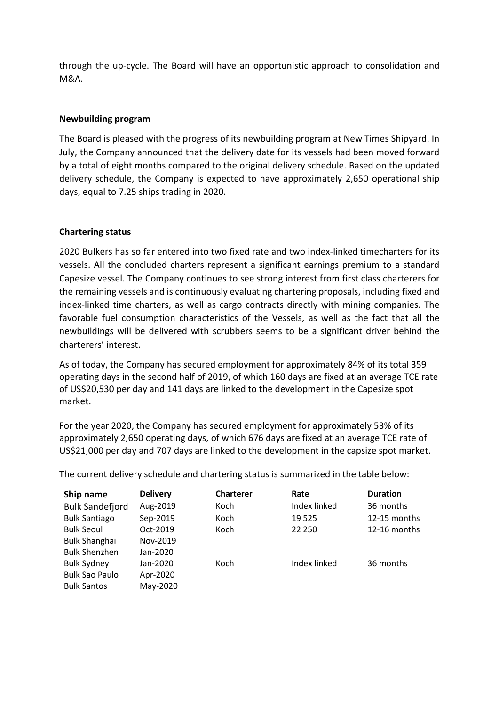through the up-cycle. The Board will have an opportunistic approach to consolidation and M&A.

## **Newbuilding program**

The Board is pleased with the progress of its newbuilding program at New Times Shipyard. In July, the Company announced that the delivery date for its vessels had been moved forward by a total of eight months compared to the original delivery schedule. Based on the updated delivery schedule, the Company is expected to have approximately 2,650 operational ship days, equal to 7.25 ships trading in 2020.

#### **Chartering status**

2020 Bulkers has so far entered into two fixed rate and two index-linked timecharters for its vessels. All the concluded charters represent a significant earnings premium to a standard Capesize vessel. The Company continues to see strong interest from first class charterers for the remaining vessels and is continuously evaluating chartering proposals, including fixed and index-linked time charters, as well as cargo contracts directly with mining companies. The favorable fuel consumption characteristics of the Vessels, as well as the fact that all the newbuildings will be delivered with scrubbers seems to be a significant driver behind the charterers' interest.

As of today, the Company has secured employment for approximately 84% of its total 359 operating days in the second half of 2019, of which 160 days are fixed at an average TCE rate of US\$20,530 per day and 141 days are linked to the development in the Capesize spot market.

For the year 2020, the Company has secured employment for approximately 53% of its approximately 2,650 operating days, of which 676 days are fixed at an average TCE rate of US\$21,000 per day and 707 days are linked to the development in the capsize spot market.

| Ship name              | <b>Delivery</b> | <b>Charterer</b> | Rate         | <b>Duration</b> |
|------------------------|-----------------|------------------|--------------|-----------------|
| <b>Bulk Sandefjord</b> | Aug-2019        | Koch             | Index linked | 36 months       |
| <b>Bulk Santiago</b>   | Sep-2019        | Koch             | 19 5 25      | 12-15 months    |
| <b>Bulk Seoul</b>      | Oct-2019        | Koch             | 22 250       | 12-16 months    |
| <b>Bulk Shanghai</b>   | Nov-2019        |                  |              |                 |
| <b>Bulk Shenzhen</b>   | Jan-2020        |                  |              |                 |
| <b>Bulk Sydney</b>     | Jan-2020        | Koch             | Index linked | 36 months       |
| <b>Bulk Sao Paulo</b>  | Apr-2020        |                  |              |                 |
| <b>Bulk Santos</b>     | May-2020        |                  |              |                 |

The current delivery schedule and chartering status is summarized in the table below: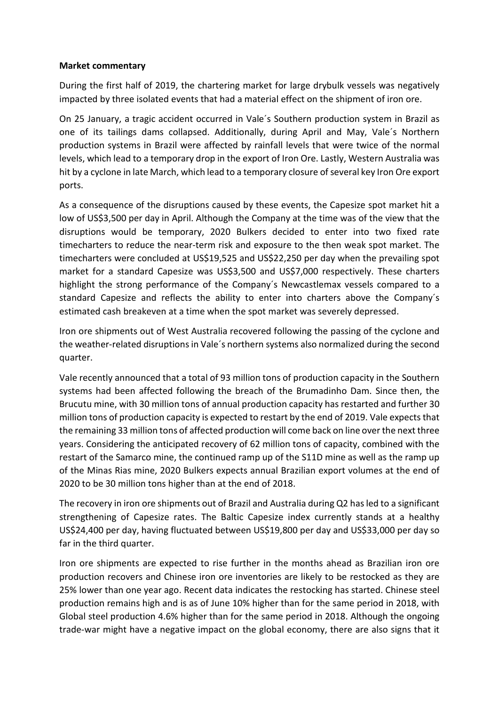#### **Market commentary**

During the first half of 2019, the chartering market for large drybulk vessels was negatively impacted by three isolated events that had a material effect on the shipment of iron ore.

On 25 January, a tragic accident occurred in Vale´s Southern production system in Brazil as one of its tailings dams collapsed. Additionally, during April and May, Vale´s Northern production systems in Brazil were affected by rainfall levels that were twice of the normal levels, which lead to a temporary drop in the export of Iron Ore. Lastly, Western Australia was hit by a cyclone in late March, which lead to a temporary closure of several key Iron Ore export ports.

As a consequence of the disruptions caused by these events, the Capesize spot market hit a low of US\$3,500 per day in April. Although the Company at the time was of the view that the disruptions would be temporary, 2020 Bulkers decided to enter into two fixed rate timecharters to reduce the near-term risk and exposure to the then weak spot market. The timecharters were concluded at US\$19,525 and US\$22,250 per day when the prevailing spot market for a standard Capesize was US\$3,500 and US\$7,000 respectively. These charters highlight the strong performance of the Company´s Newcastlemax vessels compared to a standard Capesize and reflects the ability to enter into charters above the Company´s estimated cash breakeven at a time when the spot market was severely depressed.

Iron ore shipments out of West Australia recovered following the passing of the cyclone and the weather-related disruptions in Vale´s northern systems also normalized during the second quarter.

Vale recently announced that a total of 93 million tons of production capacity in the Southern systems had been affected following the breach of the Brumadinho Dam. Since then, the Brucutu mine, with 30 million tons of annual production capacity has restarted and further 30 million tons of production capacity is expected to restart by the end of 2019. Vale expects that the remaining 33 million tons of affected production will come back on line over the next three years. Considering the anticipated recovery of 62 million tons of capacity, combined with the restart of the Samarco mine, the continued ramp up of the S11D mine as well as the ramp up of the Minas Rias mine, 2020 Bulkers expects annual Brazilian export volumes at the end of 2020 to be 30 million tons higher than at the end of 2018.

The recovery in iron ore shipments out of Brazil and Australia during Q2 has led to a significant strengthening of Capesize rates. The Baltic Capesize index currently stands at a healthy US\$24,400 per day, having fluctuated between US\$19,800 per day and US\$33,000 per day so far in the third quarter.

Iron ore shipments are expected to rise further in the months ahead as Brazilian iron ore production recovers and Chinese iron ore inventories are likely to be restocked as they are 25% lower than one year ago. Recent data indicates the restocking has started. Chinese steel production remains high and is as of June 10% higher than for the same period in 2018, with Global steel production 4.6% higher than for the same period in 2018. Although the ongoing trade-war might have a negative impact on the global economy, there are also signs that it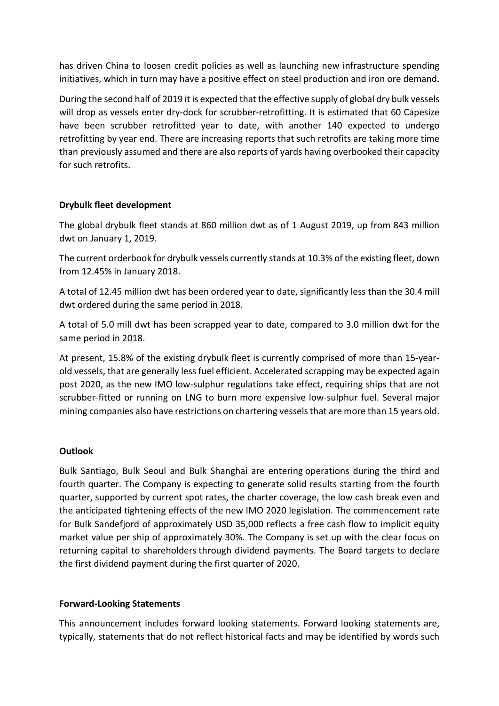has driven China to loosen credit policies as well as launching new infrastructure spending initiatives, which in turn may have a positive effect on steel production and iron ore demand.

During the second half of 2019 it is expected that the effective supply of global dry bulk vessels will drop as vessels enter dry-dock for scrubber-retrofitting. It is estimated that 60 Capesize have been scrubber retrofitted year to date, with another 140 expected to undergo retrofitting by year end. There are increasing reports that such retrofits are taking more time than previously assumed and there are also reports of yards having overbooked their capacity for such retrofits.

# **Drybulk fleet development**

The global drybulk fleet stands at 860 million dwt as of 1 August 2019, up from 843 million dwt on January 1, 2019.

The current orderbook for drybulk vessels currently stands at 10.3% of the existing fleet, down from 12.45% in January 2018.

A total of 12.45 million dwt has been ordered year to date, significantly less than the 30.4 mill dwt ordered during the same period in 2018.

A total of 5.0 mill dwt has been scrapped year to date, compared to 3.0 million dwt for the same period in 2018.

At present, 15.8% of the existing drybulk fleet is currently comprised of more than 15-yearold vessels, that are generally less fuel efficient. Accelerated scrapping may be expected again post 2020, as the new IMO low-sulphur regulations take effect, requiring ships that are not scrubber-fitted or running on LNG to burn more expensive low-sulphur fuel. Several major mining companies also have restrictions on chartering vessels that are more than 15 years old.

# **Outlook**

Bulk Santiago, Bulk Seoul and Bulk Shanghai are entering operations during the third and fourth quarter. The Company is expecting to generate solid results starting from the fourth quarter, supported by current spot rates, the charter coverage, the low cash break even and the anticipated tightening effects of the new IMO 2020 legislation. The commencement rate for Bulk Sandefjord of approximately USD 35,000 reflects a free cash flow to implicit equity market value per ship of approximately 30%. The Company is set up with the clear focus on returning capital to shareholders through dividend payments. The Board targets to declare the first dividend payment during the first quarter of 2020.

#### **Forward-Looking Statements**

This announcement includes forward looking statements. Forward looking statements are, typically, statements that do not reflect historical facts and may be identified by words such